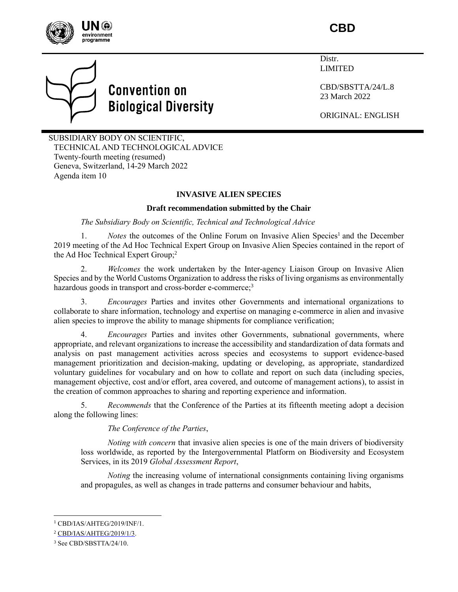

# **CBD**

# **Convention on Biological Diversity**

Distr. LIMITED

CBD/SBSTTA/24/L.8 23 March 2022

ORIGINAL: ENGLISH

SUBSIDIARY BODY ON SCIENTIFIC, TECHNICAL AND TECHNOLOGICAL ADVICE Twenty-fourth meeting (resumed) Geneva, Switzerland, 14-29 March 2022 Agenda item 10

# **INVASIVE ALIEN SPECIES**

# **Draft recommendation submitted by the Chair**

# *The Subsidiary Body on Scientific, Technical and Technological Advice*

1. *Notes* the outcomes of the Online Forum on Invasive Alien Species<sup>1</sup> and the December 2019 meeting of the Ad Hoc Technical Expert Group on Invasive Alien Species contained in the report of the Ad Hoc Technical Expert Group; 2

2. *Welcomes* the work undertaken by the Inter-agency Liaison Group on Invasive Alien Species and by the World Customs Organization to address the risks of living organisms as environmentally hazardous goods in transport and cross-border e-commerce;<sup>3</sup>

3. *Encourages* Parties and invites other Governments and international organizations to collaborate to share information, technology and expertise on managing e-commerce in alien and invasive alien species to improve the ability to manage shipments for compliance verification;

4. *Encourages* Parties and invites other Governments, subnational governments, where appropriate, and relevant organizations to increase the accessibility and standardization of data formats and analysis on past management activities across species and ecosystems to support evidence-based management prioritization and decision-making, updating or developing, as appropriate, standardized voluntary guidelines for vocabulary and on how to collate and report on such data (including species, management objective, cost and/or effort, area covered, and outcome of management actions), to assist in the creation of common approaches to sharing and reporting experience and information.

5. *Recommends* that the Conference of the Parties at its fifteenth meeting adopt a decision along the following lines:

*The Conference of the Parties*,

*Noting with concern* that invasive alien species is one of the main drivers of biodiversity loss worldwide, as reported by the Intergovernmental Platform on Biodiversity and Ecosystem Services, in its 2019 *Global Assessment Report*,

*Noting* the increasing volume of international consignments containing living organisms and propagules, as well as changes in trade patterns and consumer behaviour and habits,

l

<sup>1</sup> CBD/IAS/AHTEG/2019/INF/1.

<sup>2</sup> [CBD/IAS/AHTEG/2019/1/3.](https://www.cbd.int/doc/c/8762/bb5b/050f2c6e5031b9914618f366/ias-ahteg-2019-01-03-en.pdf)

<sup>3</sup> See CBD/SBSTTA/24/10.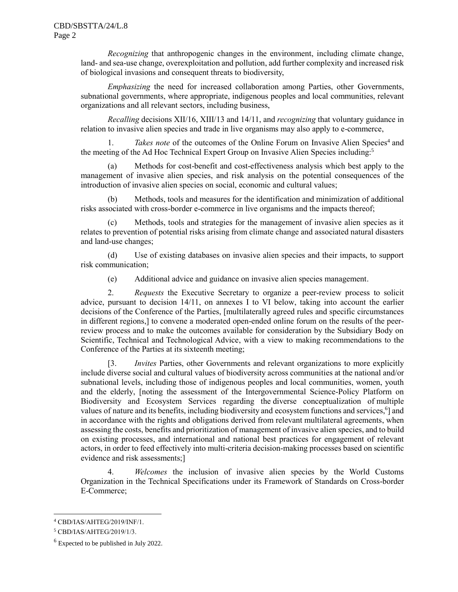*Recognizing* that anthropogenic changes in the environment, including climate change, land- and sea-use change, overexploitation and pollution, add further complexity and increased risk of biological invasions and consequent threats to biodiversity,

*Emphasizing* the need for increased collaboration among Parties, other Governments, subnational governments, where appropriate, indigenous peoples and local communities, relevant organizations and all relevant sectors, including business,

*Recalling* decisions XII/16, XIII/13 and 14/11, and *recognizing* that voluntary guidance in relation to invasive alien species and trade in live organisms may also apply to e-commerce,

1. Takes note of the outcomes of the Online Forum on Invasive Alien Species<sup>4</sup> and the meeting of the Ad Hoc Technical Expert Group on Invasive Alien Species including: 5

(a) Methods for cost-benefit and cost-effectiveness analysis which best apply to the management of invasive alien species, and risk analysis on the potential consequences of the introduction of invasive alien species on social, economic and cultural values;

(b) Methods, tools and measures for the identification and minimization of additional risks associated with cross-border e-commerce in live organisms and the impacts thereof;

(c) Methods, tools and strategies for the management of invasive alien species as it relates to prevention of potential risks arising from climate change and associated natural disasters and land-use changes;

(d) Use of existing databases on invasive alien species and their impacts, to support risk communication;

(e) Additional advice and guidance on invasive alien species management.

2. *Requests* the Executive Secretary to organize a peer-review process to solicit advice, pursuant to decision 14/11, on annexes I to VI below, taking into account the earlier decisions of the Conference of the Parties, [multilaterally agreed rules and specific circumstances in different regions,] to convene a moderated open-ended online forum on the results of the peerreview process and to make the outcomes available for consideration by the Subsidiary Body on Scientific, Technical and Technological Advice, with a view to making recommendations to the Conference of the Parties at its sixteenth meeting;

[3. *Invites* Parties, other Governments and relevant organizations to more explicitly include diverse social and cultural values of biodiversity across communities at the national and/or subnational levels, including those of indigenous peoples and local communities, women, youth and the elderly, [noting the assessment of the Intergovernmental Science-Policy Platform on Biodiversity and Ecosystem Services regarding the diverse conceptualization of multiple values of nature and its benefits, including biodiversity and ecosystem functions and services,<sup>6</sup>] and in accordance with the rights and obligations derived from relevant multilateral agreements, when assessing the costs, benefits and prioritization of management of invasive alien species, and to build on existing processes, and international and national best practices for engagement of relevant actors, in order to feed effectively into multi-criteria decision-making processes based on scientific evidence and risk assessments;]

4. *Welcomes* the inclusion of invasive alien species by the World Customs Organization in the Technical Specifications under its Framework of Standards on Cross-border E-Commerce;

l

<sup>4</sup> CBD/IAS/AHTEG/2019/INF/1.

<sup>5</sup> CBD/IAS/AHTEG/2019/1/3.

<sup>&</sup>lt;sup>6</sup> Expected to be published in July 2022.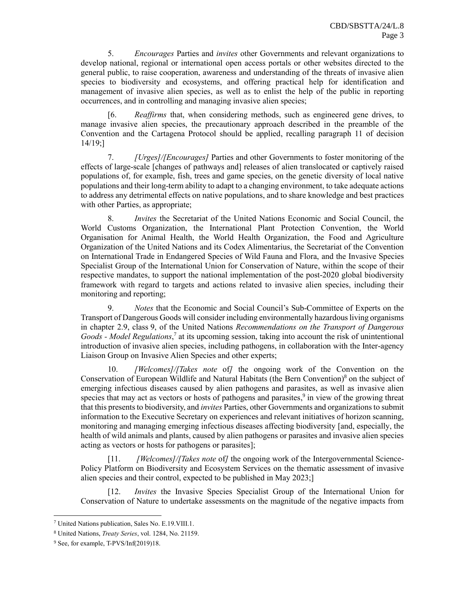5. *Encourages* Parties and *invites* other Governments and relevant organizations to develop national, regional or international open access portals or other websites directed to the general public, to raise cooperation, awareness and understanding of the threats of invasive alien species to biodiversity and ecosystems, and offering practical help for identification and management of invasive alien species, as well as to enlist the help of the public in reporting occurrences, and in controlling and managing invasive alien species;

[6. *Reaffirms* that, when considering methods, such as engineered gene drives, to manage invasive alien species, the precautionary approach described in the preamble of the Convention and the Cartagena Protocol should be applied, recalling paragraph 11 of decision 14/19;]

7. *[Urges]/[Encourages]* Parties and other Governments to foster monitoring of the effects of large-scale [changes of pathways and] releases of alien translocated or captively raised populations of, for example, fish, trees and game species, on the genetic diversity of local native populations and their long-term ability to adapt to a changing environment, to take adequate actions to address any detrimental effects on native populations, and to share knowledge and best practices with other Parties, as appropriate;

8. *Invites* the Secretariat of the United Nations Economic and Social Council, the World Customs Organization, the International Plant Protection Convention, the World Organisation for Animal Health, the World Health Organization, the Food and Agriculture Organization of the United Nations and its Codex Alimentarius, the Secretariat of the Convention on International Trade in Endangered Species of Wild Fauna and Flora, and the Invasive Species Specialist Group of the International Union for Conservation of Nature, within the scope of their respective mandates, to support the national implementation of the post-2020 global biodiversity framework with regard to targets and actions related to invasive alien species, including their monitoring and reporting;

9. *Notes* that the Economic and Social Council's Sub-Committee of Experts on the Transport of Dangerous Goods will consider including environmentally hazardous living organisms in chapter 2.9, class 9, of the United Nations *Recommendations on the Transport of Dangerous Goods - Model Regulations*, 7 at its upcoming session, taking into account the risk of unintentional introduction of invasive alien species, including pathogens, in collaboration with the Inter-agency Liaison Group on Invasive Alien Species and other experts;

10. *[Welcomes]/[Takes note* of*]* the ongoing work of the Convention on the Conservation of European Wildlife and Natural Habitats (the Bern Convention) <sup>8</sup> on the subject of emerging infectious diseases caused by alien pathogens and parasites, as well as invasive alien species that may act as vectors or hosts of pathogens and parasites,<sup>9</sup> in view of the growing threat that this presents to biodiversity, and *invites* Parties, other Governments and organizations to submit information to the Executive Secretary on experiences and relevant initiatives of horizon scanning, monitoring and managing emerging infectious diseases affecting biodiversity [and, especially, the health of wild animals and plants, caused by alien pathogens or parasites and invasive alien species acting as vectors or hosts for pathogens or parasites];

[11. *[Welcomes]/[Takes note* of*]* the ongoing work of the Intergovernmental Science-Policy Platform on Biodiversity and Ecosystem Services on the thematic assessment of invasive alien species and their control, expected to be published in May 2023;]

[12. *Invites* the Invasive Species Specialist Group of the International Union for Conservation of Nature to undertake assessments on the magnitude of the negative impacts from

l

<sup>7</sup> United Nations publication, Sales No. E.19.VIII.1.

<sup>8</sup> United Nations, *Treaty Series*, vol. 1284, No. 21159.

<sup>9</sup> See, for example, T-PVS/Inf(2019)18.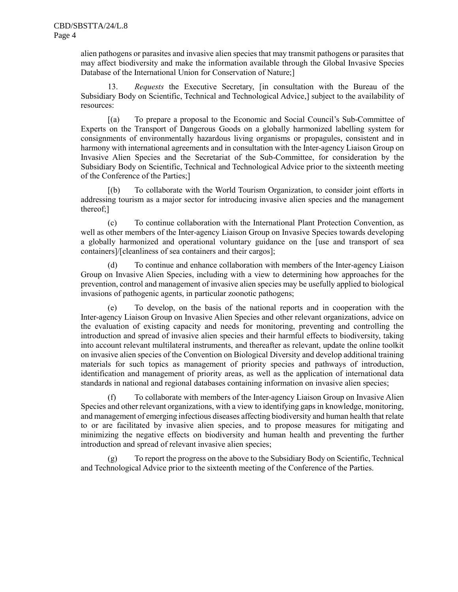alien pathogens or parasites and invasive alien species that may transmit pathogens or parasites that may affect biodiversity and make the information available through the Global Invasive Species Database of the International Union for Conservation of Nature;]

13. *Requests* the Executive Secretary, [in consultation with the Bureau of the Subsidiary Body on Scientific, Technical and Technological Advice,] subject to the availability of resources:

[(a) To prepare a proposal to the Economic and Social Council's Sub-Committee of Experts on the Transport of Dangerous Goods on a globally harmonized labelling system for consignments of environmentally hazardous living organisms or propagules, consistent and in harmony with international agreements and in consultation with the Inter-agency Liaison Group on Invasive Alien Species and the Secretariat of the Sub-Committee, for consideration by the Subsidiary Body on Scientific, Technical and Technological Advice prior to the sixteenth meeting of the Conference of the Parties;]

[(b) To collaborate with the World Tourism Organization, to consider joint efforts in addressing tourism as a major sector for introducing invasive alien species and the management thereof;]

(c) To continue collaboration with the International Plant Protection Convention, as well as other members of the Inter-agency Liaison Group on Invasive Species towards developing a globally harmonized and operational voluntary guidance on the [use and transport of sea containers]/[cleanliness of sea containers and their cargos];

(d) To continue and enhance collaboration with members of the Inter-agency Liaison Group on Invasive Alien Species, including with a view to determining how approaches for the prevention, control and management of invasive alien species may be usefully applied to biological invasions of pathogenic agents, in particular zoonotic pathogens;

(e) To develop, on the basis of the national reports and in cooperation with the Inter-agency Liaison Group on Invasive Alien Species and other relevant organizations, advice on the evaluation of existing capacity and needs for monitoring, preventing and controlling the introduction and spread of invasive alien species and their harmful effects to biodiversity, taking into account relevant multilateral instruments, and thereafter as relevant, update the online toolkit on invasive alien species of the Convention on Biological Diversity and develop additional training materials for such topics as management of priority species and pathways of introduction, identification and management of priority areas, as well as the application of international data standards in national and regional databases containing information on invasive alien species;

(f) To collaborate with members of the Inter-agency Liaison Group on Invasive Alien Species and other relevant organizations, with a view to identifying gaps in knowledge, monitoring, and management of emerging infectious diseases affecting biodiversity and human health that relate to or are facilitated by invasive alien species, and to propose measures for mitigating and minimizing the negative effects on biodiversity and human health and preventing the further introduction and spread of relevant invasive alien species;

(g) To report the progress on the above to the Subsidiary Body on Scientific, Technical and Technological Advice prior to the sixteenth meeting of the Conference of the Parties.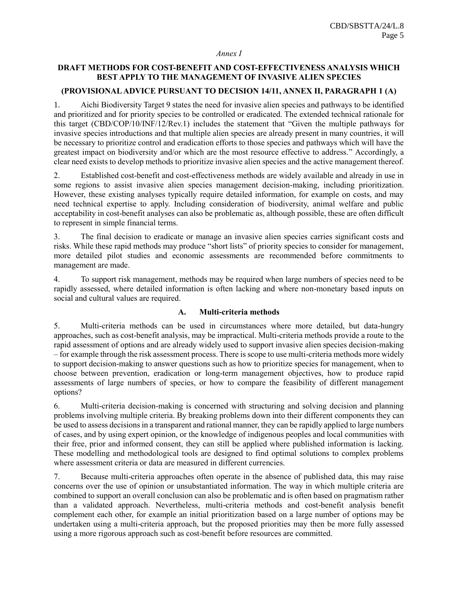#### *Annex I*

# **DRAFT METHODS FOR COST-BENEFIT AND COST-EFFECTIVENESS ANALYSIS WHICH BEST APPLY TO THE MANAGEMENT OF INVASIVE ALIEN SPECIES**

#### **(PROVISIONALADVICE PURSUANT TO DECISION 14/11, ANNEX II, PARAGRAPH 1 (A)**

1. Aichi Biodiversity Target 9 states the need for invasive alien species and pathways to be identified and prioritized and for priority species to be controlled or eradicated. The extended technical rationale for this target (CBD/COP/10/INF/12/Rev.1) includes the statement that "Given the multiple pathways for invasive species introductions and that multiple alien species are already present in many countries, it will be necessary to prioritize control and eradication efforts to those species and pathways which will have the greatest impact on biodiversity and/or which are the most resource effective to address." Accordingly, a clear need exists to develop methods to prioritize invasive alien species and the active management thereof.

2. Established cost-benefit and cost-effectiveness methods are widely available and already in use in some regions to assist invasive alien species management decision-making, including prioritization. However, these existing analyses typically require detailed information, for example on costs, and may need technical expertise to apply. Including consideration of biodiversity, animal welfare and public acceptability in cost-benefit analyses can also be problematic as, although possible, these are often difficult to represent in simple financial terms.

3. The final decision to eradicate or manage an invasive alien species carries significant costs and risks. While these rapid methods may produce "short lists" of priority species to consider for management, more detailed pilot studies and economic assessments are recommended before commitments to management are made.

4. To support risk management, methods may be required when large numbers of species need to be rapidly assessed, where detailed information is often lacking and where non-monetary based inputs on social and cultural values are required.

#### **A. Multi-criteria methods**

5. Multi-criteria methods can be used in circumstances where more detailed, but data-hungry approaches, such as cost-benefit analysis, may be impractical. Multi-criteria methods provide a route to the rapid assessment of options and are already widely used to support invasive alien species decision-making – for example through the risk assessment process. There is scope to use multi-criteria methods more widely to support decision-making to answer questions such as how to prioritize species for management, when to choose between prevention, eradication or long-term management objectives, how to produce rapid assessments of large numbers of species, or how to compare the feasibility of different management options?

6. Multi-criteria decision-making is concerned with structuring and solving decision and planning problems involving multiple criteria. By breaking problems down into their different components they can be used to assess decisions in a transparent and rational manner, they can be rapidly applied to large numbers of cases, and by using expert opinion, or the knowledge of indigenous peoples and local communities with their free, prior and informed consent, they can still be applied where published information is lacking. These modelling and methodological tools are designed to find optimal solutions to complex problems where assessment criteria or data are measured in different currencies.

7. Because multi-criteria approaches often operate in the absence of published data, this may raise concerns over the use of opinion or unsubstantiated information. The way in which multiple criteria are combined to support an overall conclusion can also be problematic and is often based on pragmatism rather than a validated approach. Nevertheless, multi-criteria methods and cost-benefit analysis benefit complement each other, for example an initial prioritization based on a large number of options may be undertaken using a multi-criteria approach, but the proposed priorities may then be more fully assessed using a more rigorous approach such as cost-benefit before resources are committed.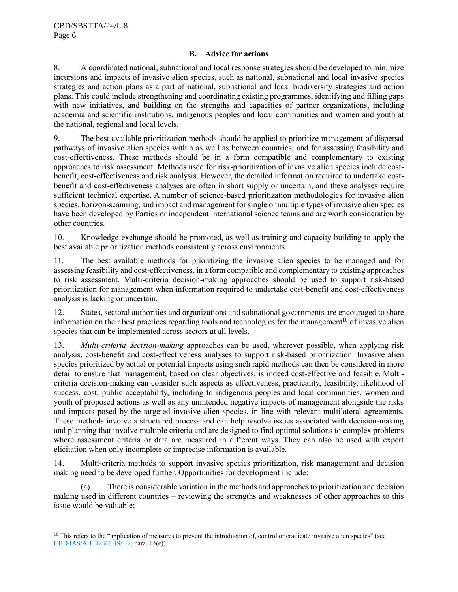l

# **B. Advice for actions**

8. A coordinated national, subnational and local response strategies should be developed to minimize incursions and impacts of invasive alien species, such as national, subnational and local invasive species strategies and action plans as a part of national, subnational and local biodiversity strategies and action plans. This could include strengthening and coordinating existing programmes, identifying and filling gaps with new initiatives, and building on the strengths and capacities of partner organizations, including academia and scientific institutions, indigenous peoples and local communities and women and youth at the national, regional and local levels.

9. The best available prioritization methods should be applied to prioritize management of dispersal pathways of invasive alien species within as well as between countries, and for assessing feasibility and cost-effectiveness. These methods should be in a form compatible and complementary to existing approaches to risk assessment. Methods used for risk-prioritization of invasive alien species include costbenefit, cost-effectiveness and risk analysis. However, the detailed information required to undertake costbenefit and cost-effectiveness analyses are often in short supply or uncertain, and these analyses require sufficient technical expertise. A number of science-based prioritization methodologies for invasive alien species, horizon-scanning, and impact and management for single or multiple types of invasive alien species have been developed by Parties or independent international science teams and are worth consideration by other countries.

10. Knowledge exchange should be promoted, as well as training and capacity-building to apply the best available prioritization methods consistently across environments.

11. The best available methods for prioritizing the invasive alien species to be managed and for assessing feasibility and cost-effectiveness, in a form compatible and complementary to existing approaches to risk assessment. Multi-criteria decision-making approaches should be used to support risk-based prioritization for management when information required to undertake cost-benefit and cost-effectiveness analysis is lacking or uncertain.

12. States, sectoral authorities and organizations and subnational governments are encouraged to share information on their best practices regarding tools and technologies for the management<sup>10</sup> of invasive alien species that can be implemented across sectors at all levels.

13. *Multi-criteria decision-making* approaches can be used, wherever possible, when applying risk analysis, cost-benefit and cost-effectiveness analyses to support risk-based prioritization. Invasive alien species prioritized by actual or potential impacts using such rapid methods can then be considered in more detail to ensure that management, based on clear objectives, is indeed cost-effective and feasible. Multicriteria decision-making can consider such aspects as effectiveness, practicality, feasibility, likelihood of success, cost, public acceptability, including to indigenous peoples and local communities, women and youth of proposed actions as well as any unintended negative impacts of management alongside the risks and impacts posed by the targeted invasive alien species, in line with relevant multilateral agreements. These methods involve a structured process and can help resolve issues associated with decision-making and planning that involve multiple criteria and are designed to find optimal solutions to complex problems where assessment criteria or data are measured in different ways. They can also be used with expert elicitation when only incomplete or imprecise information is available.

14. Multi-criteria methods to support invasive species prioritization, risk management and decision making need to be developed further. Opportunities for development include:

(a) There is considerable variation in the methods and approachesto prioritization and decision making used in different countries – reviewing the strengths and weaknesses of other approaches to this issue would be valuable;

<sup>&</sup>lt;sup>10</sup> This refers to the "application of measures to prevent the introduction of, control or eradicate invasive alien species" (see [CBD/IAS/AHTEG/2019/1/2,](https://www.cbd.int/doc/c/f82f/90c8/4e82b4a23db2edfc632d56c5/ias-ahteg-2019-01-02-en.pdf) para. 13(e)).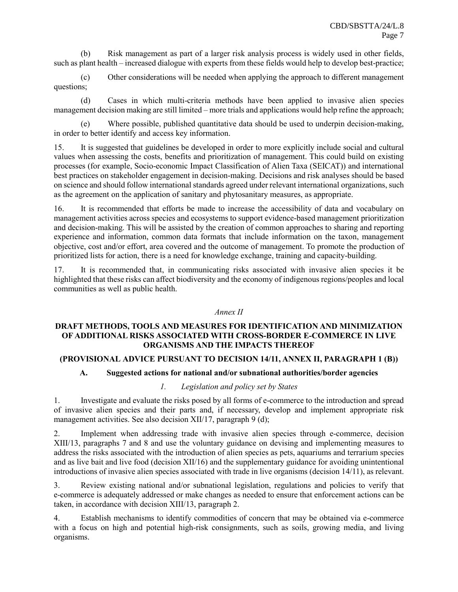(b) Risk management as part of a larger risk analysis process is widely used in other fields, such as plant health – increased dialogue with experts from these fields would help to develop best-practice;

(c) Other considerations will be needed when applying the approach to different management questions;

(d) Cases in which multi-criteria methods have been applied to invasive alien species management decision making are still limited – more trials and applications would help refine the approach;

Where possible, published quantitative data should be used to underpin decision-making, in order to better identify and access key information.

15. It is suggested that guidelines be developed in order to more explicitly include social and cultural values when assessing the costs, benefits and prioritization of management. This could build on existing processes (for example, Socio-economic Impact Classification of Alien Taxa (SEICAT)) and international best practices on stakeholder engagement in decision-making. Decisions and risk analyses should be based on science and should follow international standards agreed under relevant international organizations, such as the agreement on the application of sanitary and phytosanitary measures, as appropriate.

16. It is recommended that efforts be made to increase the accessibility of data and vocabulary on management activities across species and ecosystems to support evidence-based management prioritization and decision-making. This will be assisted by the creation of common approaches to sharing and reporting experience and information, common data formats that include information on the taxon, management objective, cost and/or effort, area covered and the outcome of management. To promote the production of prioritized lists for action, there is a need for knowledge exchange, training and capacity-building.

17. It is recommended that, in communicating risks associated with invasive alien species it be highlighted that these risks can affect biodiversity and the economy of indigenous regions/peoples and local communities as well as public health.

#### *Annex II*

#### **DRAFT METHODS, TOOLS AND MEASURES FOR IDENTIFICATION AND MINIMIZATION OF ADDITIONAL RISKS ASSOCIATED WITH CROSS-BORDER E-COMMERCE IN LIVE ORGANISMS AND THE IMPACTS THEREOF**

#### **(PROVISIONAL ADVICE PURSUANT TO DECISION 14/11, ANNEX II, PARAGRAPH 1 (B))**

#### **A. Suggested actions for national and/or subnational authorities/border agencies**

#### *1. Legislation and policy set by States*

1. Investigate and evaluate the risks posed by all forms of e-commerce to the introduction and spread of invasive alien species and their parts and, if necessary, develop and implement appropriate risk management activities. See also decision XII/17, paragraph 9 (d);

2. Implement when addressing trade with invasive alien species through e-commerce, decision XIII/13, paragraphs 7 and 8 and use the voluntary guidance on devising and implementing measures to address the risks associated with the introduction of alien species as pets, aquariums and terrarium species and as live bait and live food (decision XII/16) and the supplementary guidance for avoiding unintentional introductions of invasive alien species associated with trade in live organisms (decision 14/11), as relevant.

3. Review existing national and/or subnational legislation, regulations and policies to verify that e-commerce is adequately addressed or make changes as needed to ensure that enforcement actions can be taken, in accordance with decision XIII/13, paragraph 2.

4. Establish mechanisms to identify commodities of concern that may be obtained via e-commerce with a focus on high and potential high-risk consignments, such as soils, growing media, and living organisms.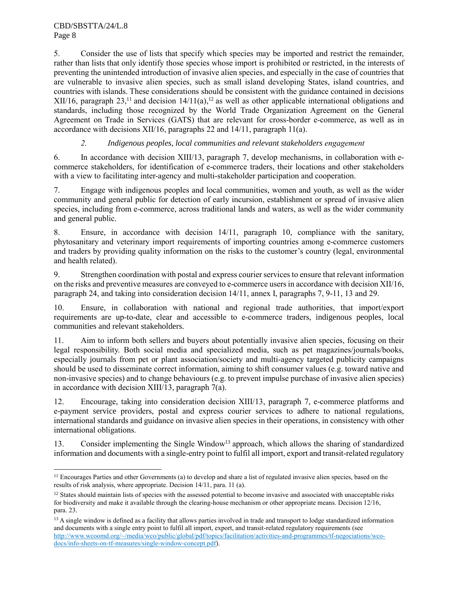5. Consider the use of lists that specify which species may be imported and restrict the remainder, rather than lists that only identify those species whose import is prohibited or restricted, in the interests of preventing the unintended introduction of invasive alien species, and especially in the case of countries that are vulnerable to invasive alien species, such as small island developing States, island countries, and countries with islands. These considerations should be consistent with the guidance contained in decisions XII/16, paragraph 23,<sup>11</sup> and decision  $14/11(a)$ ,<sup>12</sup> as well as other applicable international obligations and standards, including those recognized by the World Trade Organization Agreement on the General Agreement on Trade in Services (GATS) that are relevant for cross-border e-commerce, as well as in accordance with decisions XII/16, paragraphs 22 and 14/11, paragraph 11(a).

# *2. Indigenous peoples, local communities and relevant stakeholders engagement*

6. In accordance with decision XIII/13, paragraph 7, develop mechanisms, in collaboration with ecommerce stakeholders, for identification of e-commerce traders, their locations and other stakeholders with a view to facilitating inter-agency and multi-stakeholder participation and cooperation.

7. Engage with indigenous peoples and local communities, women and youth, as well as the wider community and general public for detection of early incursion, establishment or spread of invasive alien species, including from e-commerce, across traditional lands and waters, as well as the wider community and general public.

8. Ensure, in accordance with decision 14/11, paragraph 10, compliance with the sanitary, phytosanitary and veterinary import requirements of importing countries among e-commerce customers and traders by providing quality information on the risks to the customer's country (legal, environmental and health related).

9. Strengthen coordination with postal and express courier services to ensure that relevant information on the risks and preventive measures are conveyed to e-commerce usersin accordance with decision XII/16, paragraph 24, and taking into consideration decision 14/11, annex I, paragraphs 7, 9-11, 13 and 29.

10. Ensure, in collaboration with national and regional trade authorities, that import/export requirements are up-to-date, clear and accessible to e-commerce traders, indigenous peoples, local communities and relevant stakeholders.

11. Aim to inform both sellers and buyers about potentially invasive alien species, focusing on their legal responsibility. Both social media and specialized media, such as pet magazines/journals/books, especially journals from pet or plant association/society and multi-agency targeted publicity campaigns should be used to disseminate correct information, aiming to shift consumer values (e.g. toward native and non-invasive species) and to change behaviours (e.g. to prevent impulse purchase of invasive alien species) in accordance with decision XIII/13, paragraph 7(a).

12. Encourage, taking into consideration decision XIII/13, paragraph 7, e-commerce platforms and e-payment service providers, postal and express courier services to adhere to national regulations, international standards and guidance on invasive alien species in their operations, in consistency with other international obligations.

13. Consider implementing the Single Window<sup>13</sup> approach, which allows the sharing of standardized information and documents with a single-entry point to fulfil all import, export and transit-related regulatory

 $\overline{\phantom{a}}$ <sup>11</sup> Encourages Parties and other Governments (a) to develop and share a list of regulated invasive alien species, based on the results of risk analysis, where appropriate. Decision 14/11, para. 11 (a).

 $12$  States should maintain lists of species with the assessed potential to become invasive and associated with unacceptable risks for biodiversity and make it available through the clearing-house mechanism or other appropriate means. Decision 12/16, para. 23.

<sup>&</sup>lt;sup>13</sup> A single window is defined as a facility that allows parties involved in trade and transport to lodge standardized information and documents with a single entry point to fulfil all import, export, and transit-related regulatory requirements (see [http://www.wcoomd.org/~/media/wco/public/global/pdf/topics/facilitation/activities-and-programmes/tf-negociations/wco](http://www.wcoomd.org/~/media/wco/public/global/pdf/topics/facilitation/activities-and-programmes/tf-negociations/wco-docs/info-sheets-on-tf-measures/single-window-concept.pdf)[docs/info-sheets-on-tf-measures/single-window-concept.pdf\)](http://www.wcoomd.org/~/media/wco/public/global/pdf/topics/facilitation/activities-and-programmes/tf-negociations/wco-docs/info-sheets-on-tf-measures/single-window-concept.pdf).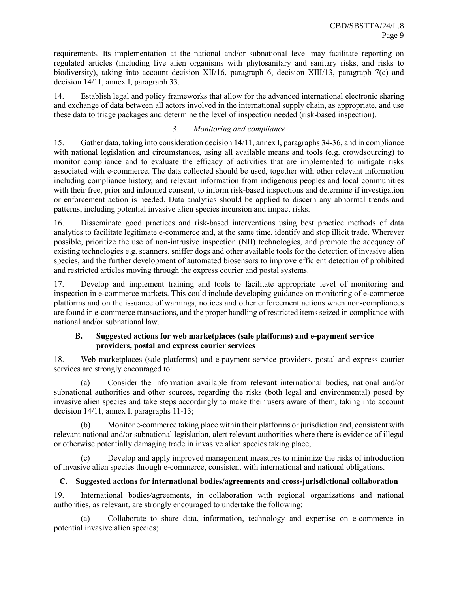requirements. Its implementation at the national and/or subnational level may facilitate reporting on regulated articles (including live alien organisms with phytosanitary and sanitary risks, and risks to biodiversity), taking into account decision XII/16, paragraph 6, decision XIII/13, paragraph 7(c) and decision 14/11, annex I, paragraph 33.

14. Establish legal and policy frameworks that allow for the advanced international electronic sharing and exchange of data between all actors involved in the international supply chain, as appropriate, and use these data to triage packages and determine the level of inspection needed (risk-based inspection).

# *3. Monitoring and compliance*

15. Gather data, taking into consideration decision 14/11, annex I, paragraphs 34-36, and in compliance with national legislation and circumstances, using all available means and tools (e.g. crowdsourcing) to monitor compliance and to evaluate the efficacy of activities that are implemented to mitigate risks associated with e-commerce. The data collected should be used, together with other relevant information including compliance history, and relevant information from indigenous peoples and local communities with their free, prior and informed consent, to inform risk-based inspections and determine if investigation or enforcement action is needed. Data analytics should be applied to discern any abnormal trends and patterns, including potential invasive alien species incursion and impact risks.

16. Disseminate good practices and risk-based interventions using best practice methods of data analytics to facilitate legitimate e-commerce and, at the same time, identify and stop illicit trade. Wherever possible, prioritize the use of non-intrusive inspection (NII) technologies, and promote the adequacy of existing technologies e.g. scanners, sniffer dogs and other available tools for the detection of invasive alien species, and the further development of automated biosensors to improve efficient detection of prohibited and restricted articles moving through the express courier and postal systems.

17. Develop and implement training and tools to facilitate appropriate level of monitoring and inspection in e-commerce markets. This could include developing guidance on monitoring of e-commerce platforms and on the issuance of warnings, notices and other enforcement actions when non-compliances are found in e-commerce transactions, and the proper handling of restricted items seized in compliance with national and/or subnational law.

# **B. Suggested actions for web marketplaces (sale platforms) and e-payment service providers, postal and express courier services**

18. Web marketplaces (sale platforms) and e-payment service providers, postal and express courier services are strongly encouraged to:

(a) Consider the information available from relevant international bodies, national and/or subnational authorities and other sources, regarding the risks (both legal and environmental) posed by invasive alien species and take steps accordingly to make their users aware of them, taking into account decision 14/11, annex I, paragraphs 11-13;

(b) Monitor e-commerce taking place within their platforms or jurisdiction and, consistent with relevant national and/or subnational legislation, alert relevant authorities where there is evidence of illegal or otherwise potentially damaging trade in invasive alien species taking place;

(c) Develop and apply improved management measures to minimize the risks of introduction of invasive alien species through e-commerce, consistent with international and national obligations.

# **C. Suggested actions for international bodies/agreements and cross-jurisdictional collaboration**

19. International bodies/agreements, in collaboration with regional organizations and national authorities, as relevant, are strongly encouraged to undertake the following:

(a) Collaborate to share data, information, technology and expertise on e-commerce in potential invasive alien species;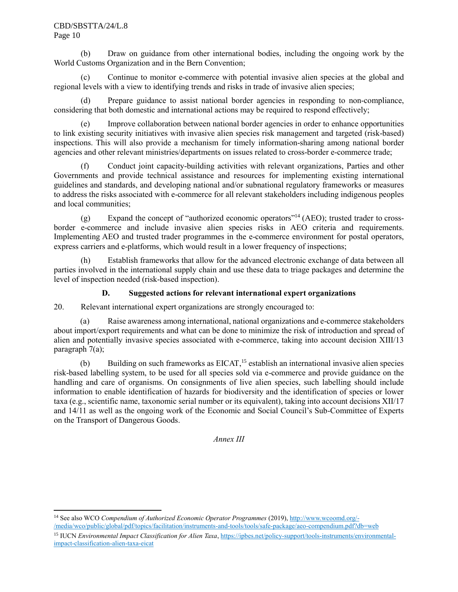#### CBD/SBSTTA/24/L.8 Page 10

 $\overline{\phantom{a}}$ 

(b) Draw on guidance from other international bodies, including the ongoing work by the World Customs Organization and in the Bern Convention;

(c) Continue to monitor e-commerce with potential invasive alien species at the global and regional levels with a view to identifying trends and risks in trade of invasive alien species;

(d) Prepare guidance to assist national border agencies in responding to non-compliance, considering that both domestic and international actions may be required to respond effectively;

(e) Improve collaboration between national border agencies in order to enhance opportunities to link existing security initiatives with invasive alien species risk management and targeted (risk-based) inspections. This will also provide a mechanism for timely information-sharing among national border agencies and other relevant ministries/departments on issues related to cross-border e-commerce trade;

(f) Conduct joint capacity-building activities with relevant organizations, Parties and other Governments and provide technical assistance and resources for implementing existing international guidelines and standards, and developing national and/or subnational regulatory frameworks or measures to address the risks associated with e-commerce for all relevant stakeholders including indigenous peoples and local communities;

(g) Expand the concept of "authorized economic operators" <sup>14</sup> (AEO); trusted trader to crossborder e-commerce and include invasive alien species risks in AEO criteria and requirements. Implementing AEO and trusted trader programmes in the e-commerce environment for postal operators, express carriers and e-platforms, which would result in a lower frequency of inspections;

(h) Establish frameworks that allow for the advanced electronic exchange of data between all parties involved in the international supply chain and use these data to triage packages and determine the level of inspection needed (risk-based inspection).

# **D. Suggested actions for relevant international expert organizations**

20. Relevant international expert organizations are strongly encouraged to:

(a) Raise awareness among international, national organizations and e-commerce stakeholders about import/export requirements and what can be done to minimize the risk of introduction and spread of alien and potentially invasive species associated with e-commerce, taking into account decision XIII/13 paragraph 7(a);

(b) Building on such frameworks as EICAT, <sup>15</sup> establish an international invasive alien species risk-based labelling system, to be used for all species sold via e-commerce and provide guidance on the handling and care of organisms. On consignments of live alien species, such labelling should include information to enable identification of hazards for biodiversity and the identification of species or lower taxa (e.g., scientific name, taxonomic serial number or its equivalent), taking into account decisions XII/17 and 14/11 as well as the ongoing work of the Economic and Social Council's Sub-Committee of Experts on the Transport of Dangerous Goods.

*Annex III*

<sup>14</sup> See also WCO *Compendium of Authorized Economic Operator Programmes* (2019)[, http://www.wcoomd.org/-](http://www.wcoomd.org/-/media/wco/public/global/pdf/topics/facilitation/instruments-and-tools/tools/safe-package/aeo-compendium.pdf?db=web) [/media/wco/public/global/pdf/topics/facilitation/instruments-and-tools/tools/safe-package/aeo-compendium.pdf?db=web](http://www.wcoomd.org/-/media/wco/public/global/pdf/topics/facilitation/instruments-and-tools/tools/safe-package/aeo-compendium.pdf?db=web)

<sup>15</sup> IUCN *Environmental Impact Classification for Alien Taxa*, [https://ipbes.net/policy-support/tools-instruments/environmental](https://ipbes.net/policy-support/tools-instruments/environmental-impact-classification-alien-taxa-eicat)[impact-classification-alien-taxa-eicat](https://ipbes.net/policy-support/tools-instruments/environmental-impact-classification-alien-taxa-eicat)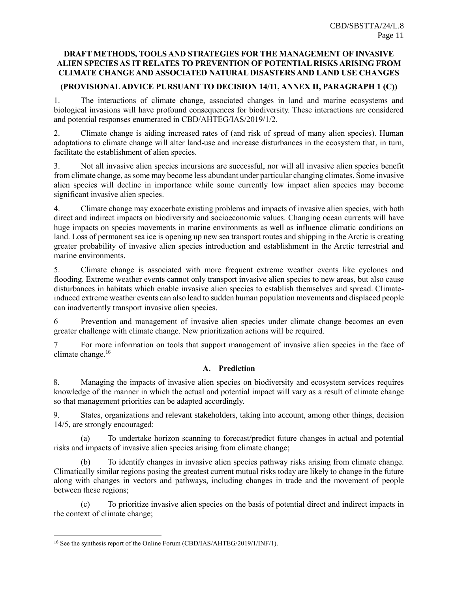# **DRAFT METHODS, TOOLS AND STRATEGIES FOR THE MANAGEMENT OF INVASIVE ALIEN SPECIES AS IT RELATES TO PREVENTION OF POTENTIAL RISKS ARISING FROM CLIMATE CHANGE AND ASSOCIATED NATURAL DISASTERS AND LAND USE CHANGES**

# **(PROVISIONALADVICE PURSUANT TO DECISION 14/11, ANNEX II, PARAGRAPH 1 (C))**

1. The interactions of climate change, associated changes in land and marine ecosystems and biological invasions will have profound consequences for biodiversity. These interactions are considered and potential responses enumerated in CBD/AHTEG/IAS/2019/1/2.

2. Climate change is aiding increased rates of (and risk of spread of many alien species). Human adaptations to climate change will alter land-use and increase disturbances in the ecosystem that, in turn, facilitate the establishment of alien species.

3. Not all invasive alien species incursions are successful, nor will all invasive alien species benefit from climate change, as some may become less abundant under particular changing climates. Some invasive alien species will decline in importance while some currently low impact alien species may become significant invasive alien species.

4. Climate change may exacerbate existing problems and impacts of invasive alien species, with both direct and indirect impacts on biodiversity and socioeconomic values. Changing ocean currents will have huge impacts on species movements in marine environments as well as influence climatic conditions on land. Loss of permanent sea ice is opening up new sea transport routes and shipping in the Arctic is creating greater probability of invasive alien species introduction and establishment in the Arctic terrestrial and marine environments.

5. Climate change is associated with more frequent extreme weather events like cyclones and flooding. Extreme weather events cannot only transport invasive alien species to new areas, but also cause disturbances in habitats which enable invasive alien species to establish themselves and spread. Climateinduced extreme weather events can also lead to sudden human population movements and displaced people can inadvertently transport invasive alien species.

6 Prevention and management of invasive alien species under climate change becomes an even greater challenge with climate change. New prioritization actions will be required.

7 For more information on tools that support management of invasive alien species in the face of climate change.<sup>16</sup>

# **A. Prediction**

8. Managing the impacts of invasive alien species on biodiversity and ecosystem services requires knowledge of the manner in which the actual and potential impact will vary as a result of climate change so that management priorities can be adapted accordingly.

9. States, organizations and relevant stakeholders, taking into account, among other things, decision 14/5, are strongly encouraged:

(a) To undertake horizon scanning to forecast/predict future changes in actual and potential risks and impacts of invasive alien species arising from climate change;

(b) To identify changes in invasive alien species pathway risks arising from climate change. Climatically similar regions posing the greatest current mutual risks today are likely to change in the future along with changes in vectors and pathways, including changes in trade and the movement of people between these regions;

(c) To prioritize invasive alien species on the basis of potential direct and indirect impacts in the context of climate change;

 $\overline{a}$ 

<sup>16</sup> See the synthesis report of the Online Forum (CBD/IAS/AHTEG/2019/1/INF/1).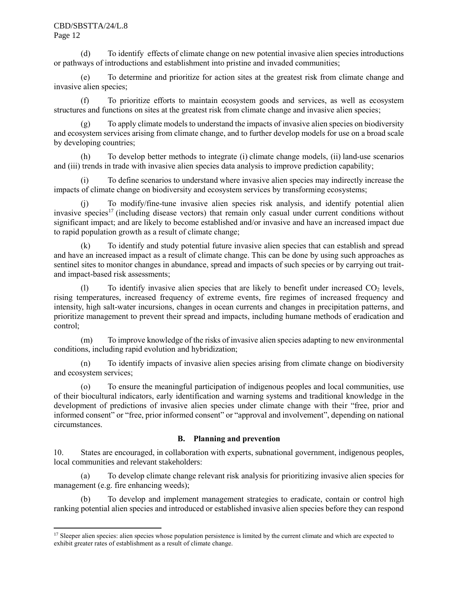#### CBD/SBSTTA/24/L.8 Page 12

l

(d) To identify effects of climate change on new potential invasive alien species introductions or pathways of introductions and establishment into pristine and invaded communities;

(e) To determine and prioritize for action sites at the greatest risk from climate change and invasive alien species;

(f) To prioritize efforts to maintain ecosystem goods and services, as well as ecosystem structures and functions on sites at the greatest risk from climate change and invasive alien species;

To apply climate models to understand the impacts of invasive alien species on biodiversity and ecosystem services arising from climate change, and to further develop models for use on a broad scale by developing countries;

(h) To develop better methods to integrate (i) climate change models, (ii) land-use scenarios and (iii) trends in trade with invasive alien species data analysis to improve prediction capability;

(i) To define scenarios to understand where invasive alien species may indirectly increase the impacts of climate change on biodiversity and ecosystem services by transforming ecosystems;

(j) To modify/fine-tune invasive alien species risk analysis, and identify potential alien invasive species<sup>17</sup> (including disease vectors) that remain only casual under current conditions without significant impact; and are likely to become established and/or invasive and have an increased impact due to rapid population growth as a result of climate change;

(k) To identify and study potential future invasive alien species that can establish and spread and have an increased impact as a result of climate change. This can be done by using such approaches as sentinel sites to monitor changes in abundance, spread and impacts of such species or by carrying out traitand impact-based risk assessments;

(1) To identify invasive alien species that are likely to benefit under increased  $CO<sub>2</sub>$  levels, rising temperatures, increased frequency of extreme events, fire regimes of increased frequency and intensity, high salt-water incursions, changes in ocean currents and changes in precipitation patterns, and prioritize management to prevent their spread and impacts, including humane methods of eradication and control;

(m) To improve knowledge of the risks of invasive alien species adapting to new environmental conditions, including rapid evolution and hybridization;

(n) To identify impacts of invasive alien species arising from climate change on biodiversity and ecosystem services;

(o) To ensure the meaningful participation of indigenous peoples and local communities, use of their biocultural indicators, early identification and warning systems and traditional knowledge in the development of predictions of invasive alien species under climate change with their "free, prior and informed consent" or "free, prior informed consent" or "approval and involvement", depending on national circumstances.

# **B. Planning and prevention**

10. States are encouraged, in collaboration with experts, subnational government, indigenous peoples, local communities and relevant stakeholders:

(a) To develop climate change relevant risk analysis for prioritizing invasive alien species for management (e.g. fire enhancing weeds);

(b) To develop and implement management strategies to eradicate, contain or control high ranking potential alien species and introduced or established invasive alien species before they can respond

<sup>&</sup>lt;sup>17</sup> Sleeper alien species: alien species whose population persistence is limited by the current climate and which are expected to exhibit greater rates of establishment as a result of climate change.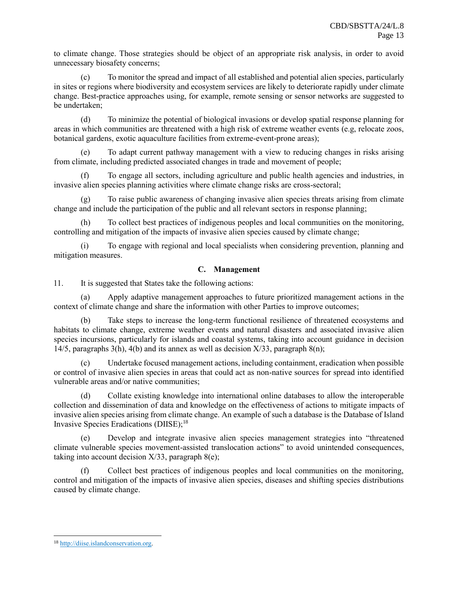to climate change. Those strategies should be object of an appropriate risk analysis, in order to avoid unnecessary biosafety concerns;

(c) To monitor the spread and impact of all established and potential alien species, particularly in sites or regions where biodiversity and ecosystem services are likely to deteriorate rapidly under climate change. Best-practice approaches using, for example, remote sensing or sensor networks are suggested to be undertaken;

(d) To minimize the potential of biological invasions or develop spatial response planning for areas in which communities are threatened with a high risk of extreme weather events (e.g, relocate zoos, botanical gardens, exotic aquaculture facilities from extreme-event-prone areas);

(e) To adapt current pathway management with a view to reducing changes in risks arising from climate, including predicted associated changes in trade and movement of people;

(f) To engage all sectors, including agriculture and public health agencies and industries, in invasive alien species planning activities where climate change risks are cross-sectoral;

(g) To raise public awareness of changing invasive alien species threats arising from climate change and include the participation of the public and all relevant sectors in response planning;

(h) To collect best practices of indigenous peoples and local communities on the monitoring, controlling and mitigation of the impacts of invasive alien species caused by climate change;

(i) To engage with regional and local specialists when considering prevention, planning and mitigation measures.

# **C. Management**

11. It is suggested that States take the following actions:

(a) Apply adaptive management approaches to future prioritized management actions in the context of climate change and share the information with other Parties to improve outcomes;

(b) Take steps to increase the long-term functional resilience of threatened ecosystems and habitats to climate change, extreme weather events and natural disasters and associated invasive alien species incursions, particularly for islands and coastal systems, taking into account guidance in decision 14/5, paragraphs 3(h), 4(b) and its annex as well as decision  $X/33$ , paragraph 8(n);

(c) Undertake focused management actions, including containment, eradication when possible or control of invasive alien species in areas that could act as non-native sources for spread into identified vulnerable areas and/or native communities;

(d) Collate existing knowledge into international online databases to allow the interoperable collection and dissemination of data and knowledge on the effectiveness of actions to mitigate impacts of invasive alien species arising from climate change. An example of such a database is the Database of Island Invasive Species Eradications (DIISE); 18

(e) Develop and integrate invasive alien species management strategies into "threatened climate vulnerable species movement-assisted translocation actions" to avoid unintended consequences, taking into account decision  $X/33$ , paragraph  $8(e)$ ;

(f) Collect best practices of indigenous peoples and local communities on the monitoring, control and mitigation of the impacts of invasive alien species, diseases and shifting species distributions caused by climate change.

 $\overline{a}$ 

<sup>18</sup> [http://diise.islandconservation.org.](http://diise.islandconservation.org/)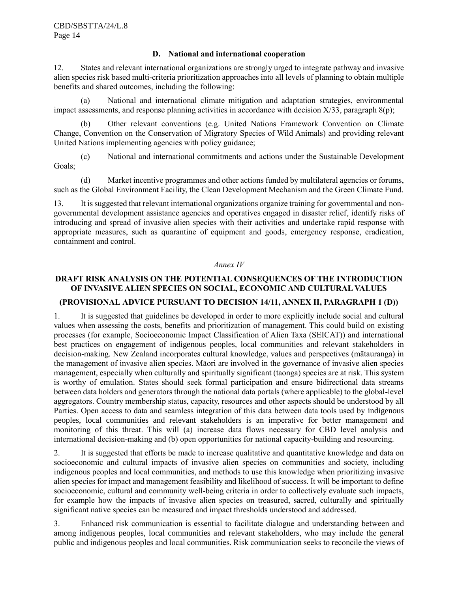#### **D. National and international cooperation**

12. States and relevant international organizations are strongly urged to integrate pathway and invasive alien species risk based multi-criteria prioritization approaches into all levels of planning to obtain multiple benefits and shared outcomes, including the following:

(a) National and international climate mitigation and adaptation strategies, environmental impact assessments, and response planning activities in accordance with decision  $X/33$ , paragraph  $8(p)$ ;

(b) Other relevant conventions (e.g. United Nations Framework Convention on Climate Change, Convention on the Conservation of Migratory Species of Wild Animals) and providing relevant United Nations implementing agencies with policy guidance;

(c) National and international commitments and actions under the Sustainable Development Goals;

(d) Market incentive programmes and other actions funded by multilateral agencies or forums, such as the Global Environment Facility, the Clean Development Mechanism and the Green Climate Fund.

13. It is suggested that relevant international organizations organize training for governmental and nongovernmental development assistance agencies and operatives engaged in disaster relief, identify risks of introducing and spread of invasive alien species with their activities and undertake rapid response with appropriate measures, such as quarantine of equipment and goods, emergency response, eradication, containment and control.

#### *Annex IV*

# **DRAFT RISK ANALYSIS ON THE POTENTIAL CONSEQUENCES OF THE INTRODUCTION OF INVASIVE ALIEN SPECIES ON SOCIAL, ECONOMIC AND CULTURAL VALUES**

#### **(PROVISIONAL ADVICE PURSUANT TO DECISION 14/11, ANNEX II, PARAGRAPH 1 (D))**

1. It is suggested that guidelines be developed in order to more explicitly include social and cultural values when assessing the costs, benefits and prioritization of management. This could build on existing processes (for example, Socioeconomic Impact Classification of Alien Taxa (SEICAT)) and international best practices on engagement of indigenous peoples, local communities and relevant stakeholders in decision-making. New Zealand incorporates cultural knowledge, values and perspectives (mātauranga) in the management of invasive alien species. Māori are involved in the governance of invasive alien species management, especially when culturally and spiritually significant (taonga) species are at risk. This system is worthy of emulation. States should seek formal participation and ensure bidirectional data streams between data holders and generators through the national data portals (where applicable) to the global-level aggregators. Country membership status, capacity, resources and other aspects should be understood by all Parties. Open access to data and seamless integration of this data between data tools used by indigenous peoples, local communities and relevant stakeholders is an imperative for better management and monitoring of this threat. This will (a) increase data flows necessary for CBD level analysis and international decision-making and (b) open opportunities for national capacity-building and resourcing.

2. It is suggested that efforts be made to increase qualitative and quantitative knowledge and data on socioeconomic and cultural impacts of invasive alien species on communities and society, including indigenous peoples and local communities, and methods to use this knowledge when prioritizing invasive alien species for impact and management feasibility and likelihood of success. It will be important to define socioeconomic, cultural and community well-being criteria in order to collectively evaluate such impacts, for example how the impacts of invasive alien species on treasured, sacred, culturally and spiritually significant native species can be measured and impact thresholds understood and addressed.

3. Enhanced risk communication is essential to facilitate dialogue and understanding between and among indigenous peoples, local communities and relevant stakeholders, who may include the general public and indigenous peoples and local communities. Risk communication seeks to reconcile the views of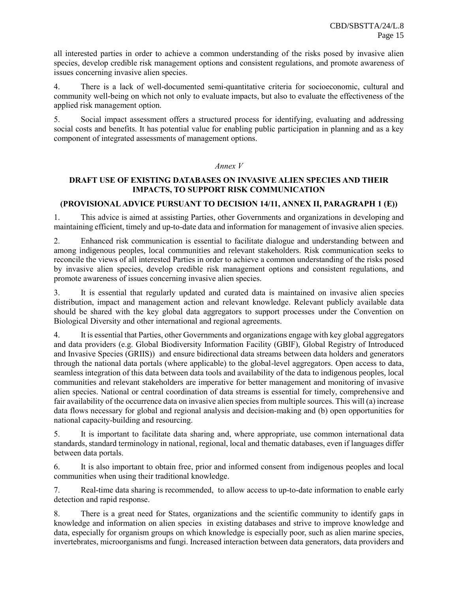all interested parties in order to achieve a common understanding of the risks posed by invasive alien species, develop credible risk management options and consistent regulations, and promote awareness of issues concerning invasive alien species.

4. There is a lack of well-documented semi-quantitative criteria for socioeconomic, cultural and community well-being on which not only to evaluate impacts, but also to evaluate the effectiveness of the applied risk management option.

5. Social impact assessment offers a structured process for identifying, evaluating and addressing social costs and benefits. It has potential value for enabling public participation in planning and as a key component of integrated assessments of management options.

#### *Annex V*

# **DRAFT USE OF EXISTING DATABASES ON INVASIVE ALIEN SPECIES AND THEIR IMPACTS, TO SUPPORT RISK COMMUNICATION**

# **(PROVISIONALADVICE PURSUANT TO DECISION 14/11, ANNEX II, PARAGRAPH 1 (E))**

1. This advice is aimed at assisting Parties, other Governments and organizations in developing and maintaining efficient, timely and up-to-date data and information for management of invasive alien species.

2. Enhanced risk communication is essential to facilitate dialogue and understanding between and among indigenous peoples, local communities and relevant stakeholders. Risk communication seeks to reconcile the views of all interested Parties in order to achieve a common understanding of the risks posed by invasive alien species, develop credible risk management options and consistent regulations, and promote awareness of issues concerning invasive alien species.

3. It is essential that regularly updated and curated data is maintained on invasive alien species distribution, impact and management action and relevant knowledge. Relevant publicly available data should be shared with the key global data aggregators to support processes under the Convention on Biological Diversity and other international and regional agreements.

4. It is essential that Parties, other Governments and organizations engage with key global aggregators and data providers (e.g. Global Biodiversity Information Facility (GBIF), Global Registry of Introduced and Invasive Species (GRIIS)) and ensure bidirectional data streams between data holders and generators through the national data portals (where applicable) to the global-level aggregators. Open access to data, seamless integration of this data between data tools and availability of the data to indigenous peoples, local communities and relevant stakeholders are imperative for better management and monitoring of invasive alien species. National or central coordination of data streams is essential for timely, comprehensive and fair availability of the occurrence data on invasive alien species from multiple sources. This will (a) increase data flows necessary for global and regional analysis and decision-making and (b) open opportunities for national capacity-building and resourcing.

5. It is important to facilitate data sharing and, where appropriate, use common international data standards, standard terminology in national, regional, local and thematic databases, even if languages differ between data portals.

6. It is also important to obtain free, prior and informed consent from indigenous peoples and local communities when using their traditional knowledge.

7. Real-time data sharing is recommended, to allow access to up-to-date information to enable early detection and rapid response.

8. There is a great need for States, organizations and the scientific community to identify gaps in knowledge and information on alien species in existing databases and strive to improve knowledge and data, especially for organism groups on which knowledge is especially poor, such as alien marine species, invertebrates, microorganisms and fungi. Increased interaction between data generators, data providers and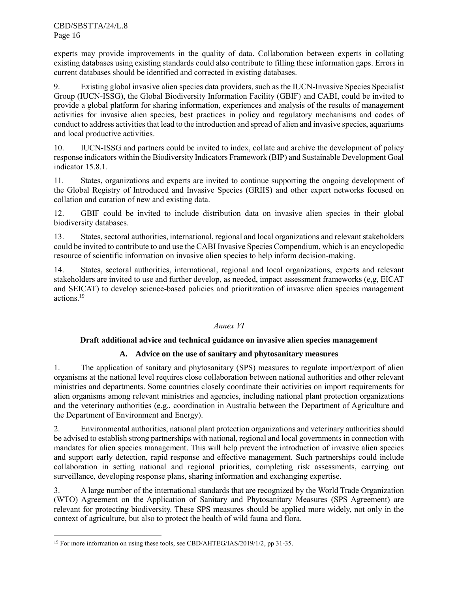experts may provide improvements in the quality of data. Collaboration between experts in collating existing databases using existing standards could also contribute to filling these information gaps. Errors in current databases should be identified and corrected in existing databases.

9. Existing global invasive alien species data providers, such as the IUCN-Invasive Species Specialist Group (IUCN-ISSG), the Global Biodiversity Information Facility (GBIF) and CABI, could be invited to provide a global platform for sharing information, experiences and analysis of the results of management activities for invasive alien species, best practices in policy and regulatory mechanisms and codes of conduct to address activities that lead to the introduction and spread of alien and invasive species, aquariums and local productive activities.

10. IUCN-ISSG and partners could be invited to index, collate and archive the development of policy response indicators within the Biodiversity Indicators Framework (BIP) and Sustainable Development Goal indicator 15.8.1.

11. States, organizations and experts are invited to continue supporting the ongoing development of the Global Registry of Introduced and Invasive Species (GRIIS) and other expert networks focused on collation and curation of new and existing data.

12. GBIF could be invited to include distribution data on invasive alien species in their global biodiversity databases.

13. States, sectoral authorities, international, regional and local organizations and relevant stakeholders could be invited to contribute to and use the CABI Invasive Species Compendium, which is an encyclopedic resource of scientific information on invasive alien species to help inform decision-making.

14. States, sectoral authorities, international, regional and local organizations, experts and relevant stakeholders are invited to use and further develop, as needed, impact assessment frameworks (e,g, EICAT and SEICAT) to develop science-based policies and prioritization of invasive alien species management actions. 19

# *Annex VI*

# **Draft additional advice and technical guidance on invasive alien species management**

# **A. Advice on the use of sanitary and phytosanitary measures**

1. The application of sanitary and phytosanitary (SPS) measures to regulate import/export of alien organisms at the national level requires close collaboration between national authorities and other relevant ministries and departments. Some countries closely coordinate their activities on import requirements for alien organisms among relevant ministries and agencies, including national plant protection organizations and the veterinary authorities (e.g., coordination in Australia between the Department of Agriculture and the Department of Environment and Energy).

2. Environmental authorities, national plant protection organizations and veterinary authorities should be advised to establish strong partnerships with national, regional and local governments in connection with mandates for alien species management. This will help prevent the introduction of invasive alien species and support early detection, rapid response and effective management. Such partnerships could include collaboration in setting national and regional priorities, completing risk assessments, carrying out surveillance, developing response plans, sharing information and exchanging expertise.

3. A large number of the international standards that are recognized by the World Trade Organization (WTO) Agreement on the Application of Sanitary and Phytosanitary Measures (SPS Agreement) are relevant for protecting biodiversity. These SPS measures should be applied more widely, not only in the context of agriculture, but also to protect the health of wild fauna and flora.

 $\overline{a}$ 

<sup>&</sup>lt;sup>19</sup> For more information on using these tools, see CBD/AHTEG/IAS/2019/1/2, pp 31-35.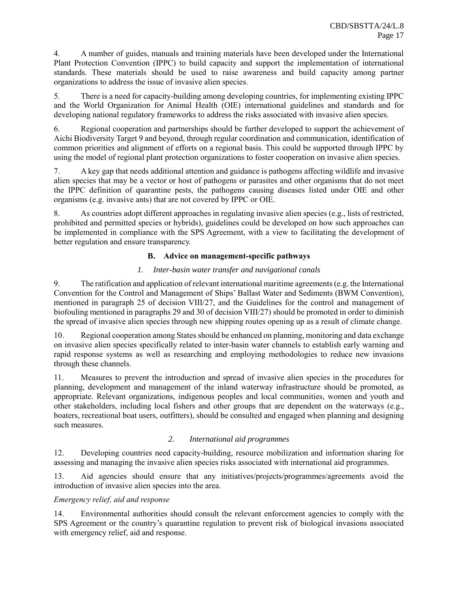4. A number of guides, manuals and training materials have been developed under the International Plant Protection Convention (IPPC) to build capacity and support the implementation of international standards. These materials should be used to raise awareness and build capacity among partner organizations to address the issue of invasive alien species.

5. There is a need for capacity-building among developing countries, for implementing existing IPPC and the World Organization for Animal Health (OIE) international guidelines and standards and for developing national regulatory frameworks to address the risks associated with invasive alien species.

6. Regional cooperation and partnerships should be further developed to support the achievement of Aichi Biodiversity Target 9 and beyond, through regular coordination and communication, identification of common priorities and alignment of efforts on a regional basis. This could be supported through IPPC by using the model of regional plant protection organizations to foster cooperation on invasive alien species.

7. A key gap that needs additional attention and guidance is pathogens affecting wildlife and invasive alien species that may be a vector or host of pathogens or parasites and other organisms that do not meet the IPPC definition of quarantine pests, the pathogens causing diseases listed under OIE and other organisms (e.g. invasive ants) that are not covered by IPPC or OIE.

8. As countries adopt different approaches in regulating invasive alien species (e.g., lists of restricted, prohibited and permitted species or hybrids), guidelines could be developed on how such approaches can be implemented in compliance with the SPS Agreement, with a view to facilitating the development of better regulation and ensure transparency.

# **B. Advice on management-specific pathways**

# *1. Inter-basin water transfer and navigational canals*

9. The ratification and application of relevant international maritime agreements (e.g. the International Convention for the Control and Management of Ships' Ballast Water and Sediments (BWM Convention), mentioned in paragraph 25 of decision VIII/27, and the Guidelines for the control and management of biofouling mentioned in paragraphs 29 and 30 of decision VIII/27) should be promoted in order to diminish the spread of invasive alien species through new shipping routes opening up as a result of climate change.

10. Regional cooperation among States should be enhanced on planning, monitoring and data exchange on invasive alien species specifically related to inter-basin water channels to establish early warning and rapid response systems as well as researching and employing methodologies to reduce new invasions through these channels.

11. Measures to prevent the introduction and spread of invasive alien species in the procedures for planning, development and management of the inland waterway infrastructure should be promoted, as appropriate. Relevant organizations, indigenous peoples and local communities, women and youth and other stakeholders, including local fishers and other groups that are dependent on the waterways (e.g., boaters, recreational boat users, outfitters), should be consulted and engaged when planning and designing such measures

# *2. International aid programmes*

12. Developing countries need capacity-building, resource mobilization and information sharing for assessing and managing the invasive alien species risks associated with international aid programmes.

13. Aid agencies should ensure that any initiatives/projects/programmes/agreements avoid the introduction of invasive alien species into the area.

# *Emergency relief, aid and response*

14. Environmental authorities should consult the relevant enforcement agencies to comply with the SPS Agreement or the country's quarantine regulation to prevent risk of biological invasions associated with emergency relief, aid and response.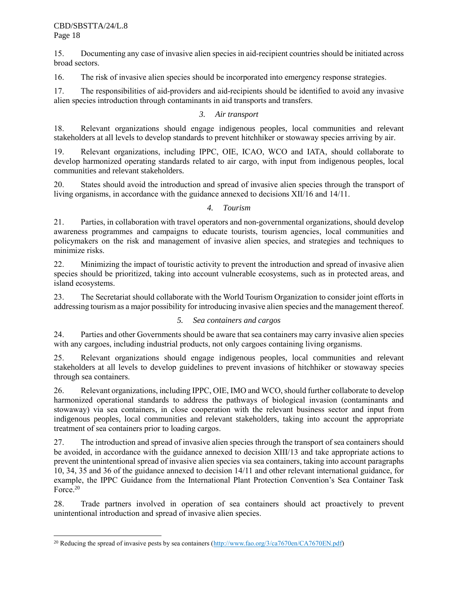$\overline{a}$ 

15. Documenting any case of invasive alien species in aid-recipient countries should be initiated across broad sectors.

16. The risk of invasive alien species should be incorporated into emergency response strategies.

17. The responsibilities of aid-providers and aid-recipients should be identified to avoid any invasive alien species introduction through contaminants in aid transports and transfers.

# *3. Air transport*

18. Relevant organizations should engage indigenous peoples, local communities and relevant stakeholders at all levels to develop standards to prevent hitchhiker or stowaway species arriving by air.

19. Relevant organizations, including IPPC, OIE, ICAO, WCO and IATA, should collaborate to develop harmonized operating standards related to air cargo, with input from indigenous peoples, local communities and relevant stakeholders.

20. States should avoid the introduction and spread of invasive alien species through the transport of living organisms, in accordance with the guidance annexed to decisions XII/16 and 14/11.

# *4. Tourism*

21. Parties, in collaboration with travel operators and non-governmental organizations, should develop awareness programmes and campaigns to educate tourists, tourism agencies, local communities and policymakers on the risk and management of invasive alien species, and strategies and techniques to minimize risks.

22. Minimizing the impact of touristic activity to prevent the introduction and spread of invasive alien species should be prioritized, taking into account vulnerable ecosystems, such as in protected areas, and island ecosystems.

23. The Secretariat should collaborate with the World Tourism Organization to consider joint efforts in addressing tourism as a major possibility for introducing invasive alien species and the management thereof.

# *5. Sea containers and cargos*

24. Parties and other Governments should be aware that sea containers may carry invasive alien species with any cargoes, including industrial products, not only cargoes containing living organisms.

25. Relevant organizations should engage indigenous peoples, local communities and relevant stakeholders at all levels to develop guidelines to prevent invasions of hitchhiker or stowaway species through sea containers.

26. Relevant organizations, including IPPC, OIE, IMO and WCO, should further collaborate to develop harmonized operational standards to address the pathways of biological invasion (contaminants and stowaway) via sea containers, in close cooperation with the relevant business sector and input from indigenous peoples, local communities and relevant stakeholders, taking into account the appropriate treatment of sea containers prior to loading cargos.

27. The introduction and spread of invasive alien species through the transport of sea containers should be avoided, in accordance with the guidance annexed to decision XIII/13 and take appropriate actions to prevent the unintentional spread of invasive alien species via sea containers, taking into account paragraphs 10, 34, 35 and 36 of the guidance annexed to decision 14/11 and other relevant international guidance, for example, the IPPC Guidance from the International Plant Protection Convention's Sea Container Task Force. 20

28. Trade partners involved in operation of sea containers should act proactively to prevent unintentional introduction and spread of invasive alien species.

<sup>&</sup>lt;sup>20</sup> Reducing the spread of invasive pests by sea containers [\(http://www.fao.org/3/ca7670en/CA7670EN.pdf\)](http://www.fao.org/3/ca7670en/CA7670EN.pdf)